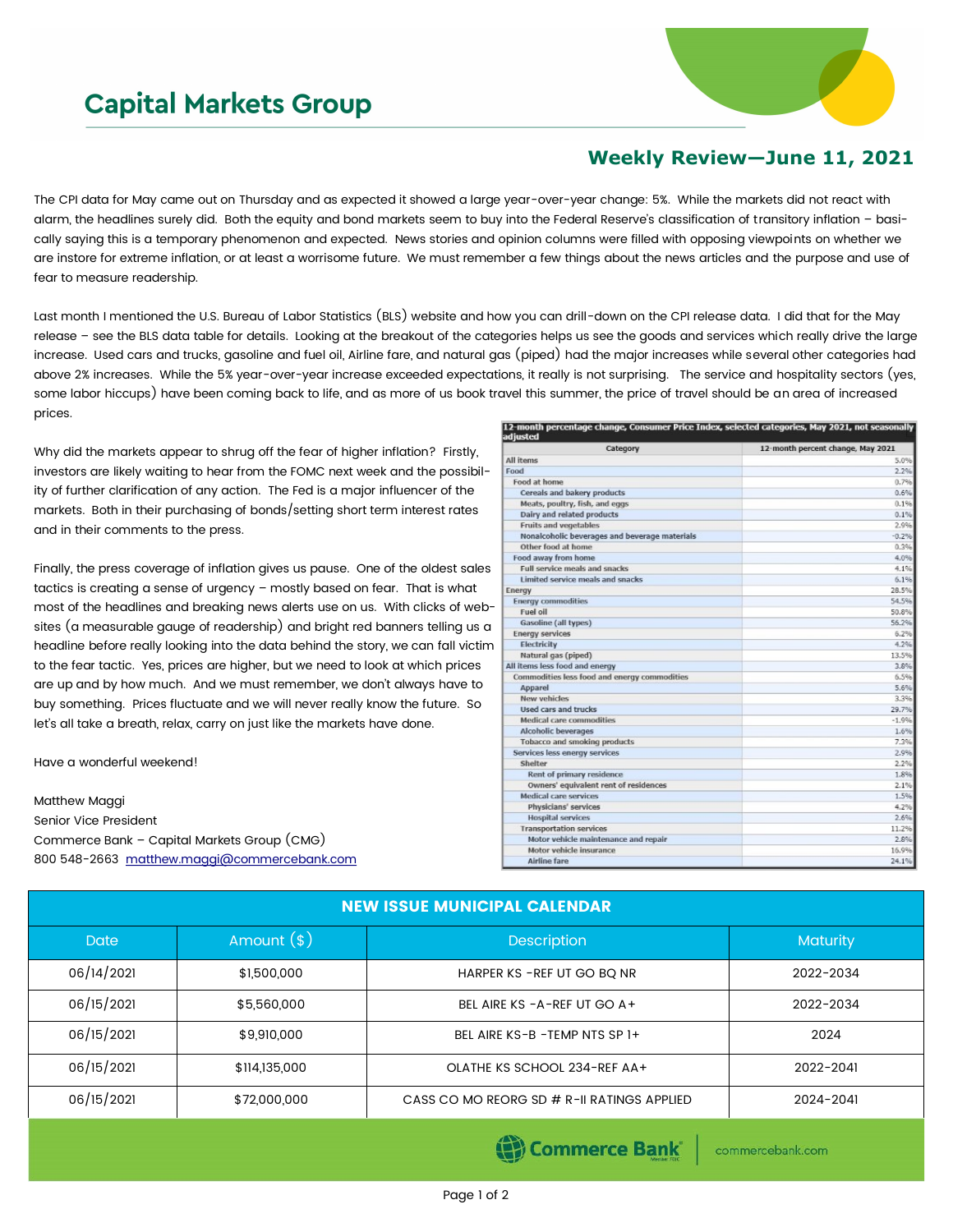## **Capital Markets Group**



## **Weekly Review—June 11, 2021**

The CPI data for May came out on Thursday and as expected it showed a large year-over-year change: 5%. While the markets did not react with alarm, the headlines surely did. Both the equity and bond markets seem to buy into the Federal Reserve's classification of transitory inflation – basically saying this is a temporary phenomenon and expected. News stories and opinion columns were filled with opposing viewpoints on whether we are instore for extreme inflation, or at least a worrisome future. We must remember a few things about the news articles and the purpose and use of fear to measure readership.

Last month I mentioned the U.S. Bureau of Labor Statistics (BLS) website and how you can drill-down on the CPI release data. I did that for the May release – see the BLS data table for details. Looking at the breakout of the categories helps us see the goods and services which really drive the large increase. Used cars and trucks, gasoline and fuel oil, Airline fare, and natural gas (piped) had the major increases while several other categories had above 2% increases. While the 5% year-over-year increase exceeded expectations, it really is not surprising. The service and hospitality sectors (yes, some labor hiccups) have been coming back to life, and as more of us book travel this summer, the price of travel should be an area of increased prices.

Why did the markets appear to shrug off the fear of higher inflation? Firstly, investors are likely waiting to hear from the FOMC next week and the possibility of further clarification of any action. The Fed is a major influencer of the markets. Both in their purchasing of bonds/setting short term interest rates and in their comments to the press.

Finally, the press coverage of inflation gives us pause. One of the oldest sales tactics is creating a sense of urgency – mostly based on fear. That is what most of the headlines and breaking news alerts use on us. With clicks of websites (a measurable gauge of readership) and bright red banners telling us a headline before really looking into the data behind the story, we can fall victim to the fear tactic. Yes, prices are higher, but we need to look at which prices are up and by how much. And we must remember, we don't always have to buy something. Prices fluctuate and we will never really know the future. So let's all take a breath, relax, carry on just like the markets have done.

Have a wonderful weekend!

Matthew Maggi Senior Vice President Commerce Bank – Capital Markets Group (CMG) 800 548-2663 [matthew.maggi@commercebank.com](mailto:matthew.maggi@commercebank.com)

| Category                                      | 12-month percent change, May 2021 |
|-----------------------------------------------|-----------------------------------|
| All items                                     | 5.0%                              |
| Food                                          | 2.2%                              |
| Food at home                                  | 0.7%                              |
| Cereals and bakery products                   | 0.6%                              |
| Meats, poultry, fish, and eggs                | 0.1%                              |
| Dairy and related products                    | 0.1%                              |
| <b>Fruits and vegetables</b>                  | 2.9%                              |
| Nonalcoholic beverages and beverage materials | $-0.2%$                           |
| Other food at home                            | 0.3%                              |
| Food away from home                           | 4.0%                              |
| Full service meals and snacks                 | 4.1%                              |
| Limited service meals and snacks              | 6.1%                              |
| Energy                                        | 28.5%                             |
| <b>Energy commodities</b>                     | 54.5%                             |
| Fuel oil                                      | 50.8%                             |
| Gasoline (all types)                          | 56.2%                             |
| <b>Energy services</b>                        | 6.2%                              |
| Electricity                                   | 4.2%                              |
| Natural gas (piped)                           | 13.5%                             |
| All items less food and energy                | 3.8%                              |
| Commodities less food and energy commodities  | 6.5%                              |
| Apparel                                       | 5.6%                              |
| New vehicles                                  | 3.3%                              |
| <b>Used cars and trucks</b>                   | 29.7%                             |
| <b>Medical care commodities</b>               | $-1.996$                          |
| <b>Alcoholic beverages</b>                    | 1.6%                              |
| Tobacco and smoking products                  | 7.3%                              |
| Services less energy services                 | 2.9%                              |
| Shelter                                       | 2.2%                              |
| <b>Rent of primary residence</b>              | 1.8%                              |
| Owners' equivalent rent of residences         | 2.1%                              |
| <b>Medical care services</b>                  | 1.5%                              |
| Physicians' services                          | 4.2%                              |
| <b>Hospital services</b>                      | 2.6%                              |
| <b>Transportation services</b>                | 11.2%                             |
| Motor vehicle maintenance and repair          | 2.8%                              |
| Motor vehicle insurance                       | 16.9%                             |
| <b>Airline fare</b>                           | 24.1%                             |

| <b>NEW ISSUE MUNICIPAL CALENDAR</b> |               |                                            |                 |  |  |  |  |
|-------------------------------------|---------------|--------------------------------------------|-----------------|--|--|--|--|
| <b>Date</b>                         | Amount $(*)$  | Description                                | <b>Maturity</b> |  |  |  |  |
| 06/14/2021                          | \$1,500,000   | HARPER KS - REF UT GO BQ NR                | 2022-2034       |  |  |  |  |
| 06/15/2021                          | \$5,560,000   | BEL AIRE KS - A-REF UT GO A+               | 2022-2034       |  |  |  |  |
| 06/15/2021                          | \$9,910,000   | BEL AIRE KS-B - TEMP NTS SP 1+             | 2024            |  |  |  |  |
| 06/15/2021                          | \$114,135,000 | OLATHE KS SCHOOL 234-REF AA+               | 2022-2041       |  |  |  |  |
| 06/15/2021                          | \$72,000,000  | CASS CO MO REORG SD # R-II RATINGS APPLIED | 2024-2041       |  |  |  |  |

Commerce Bank

commercebank.com